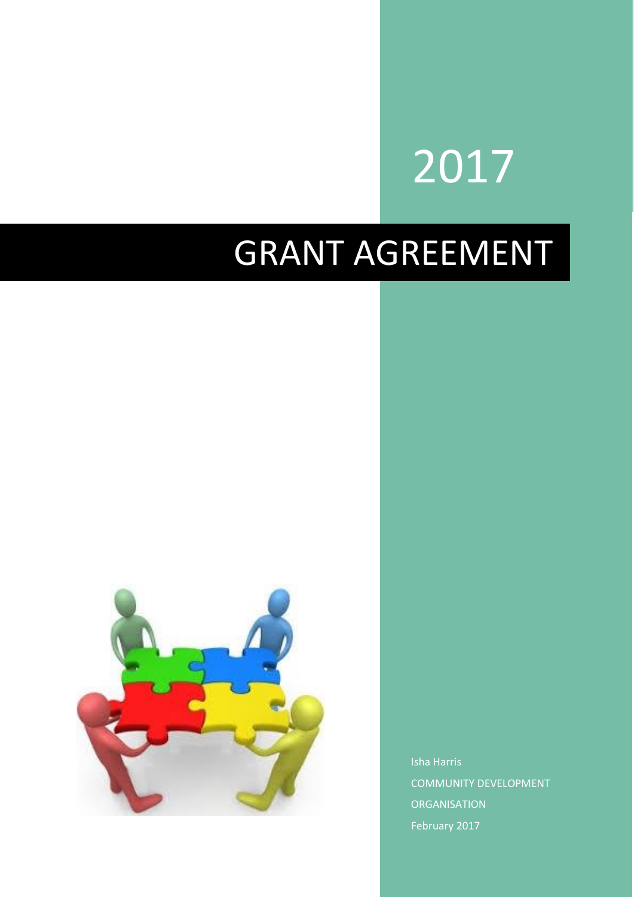## 2017

## GRANT AGREEMENT



Isha Harris COMMUNITY DEVELOPMENT **ORGANISATION** February 2017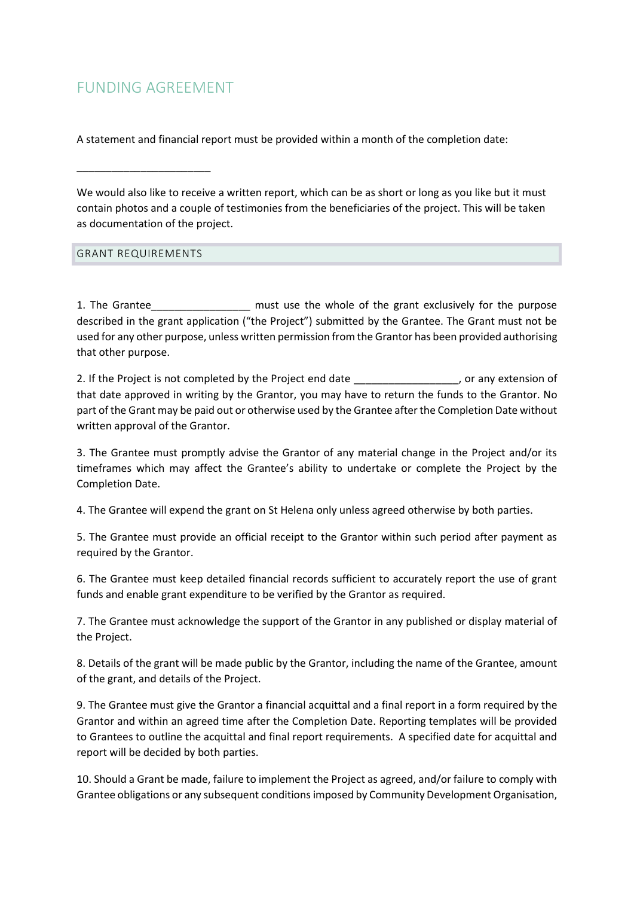## FUNDING AGREEMENT

A statement and financial report must be provided within a month of the completion date:

We would also like to receive a written report, which can be as short or long as you like but it must contain photos and a couple of testimonies from the beneficiaries of the project. This will be taken as documentation of the project.

GRANT REQUIREMENTS

\_\_\_\_\_\_\_\_\_\_\_\_\_\_\_\_\_\_\_\_\_\_\_

1. The Grantee\_\_\_\_\_\_\_\_\_\_\_\_\_\_\_\_\_ must use the whole of the grant exclusively for the purpose described in the grant application ("the Project") submitted by the Grantee. The Grant must not be used for any other purpose, unless written permission from the Grantor has been provided authorising that other purpose.

2. If the Project is not completed by the Project end date and project end of the Project end date that date approved in writing by the Grantor, you may have to return the funds to the Grantor. No part of the Grant may be paid out or otherwise used by the Grantee after the Completion Date without written approval of the Grantor.

3. The Grantee must promptly advise the Grantor of any material change in the Project and/or its timeframes which may affect the Grantee's ability to undertake or complete the Project by the Completion Date.

4. The Grantee will expend the grant on St Helena only unless agreed otherwise by both parties.

5. The Grantee must provide an official receipt to the Grantor within such period after payment as required by the Grantor.

6. The Grantee must keep detailed financial records sufficient to accurately report the use of grant funds and enable grant expenditure to be verified by the Grantor as required.

7. The Grantee must acknowledge the support of the Grantor in any published or display material of the Project.

8. Details of the grant will be made public by the Grantor, including the name of the Grantee, amount of the grant, and details of the Project.

9. The Grantee must give the Grantor a financial acquittal and a final report in a form required by the Grantor and within an agreed time after the Completion Date. Reporting templates will be provided to Grantees to outline the acquittal and final report requirements. A specified date for acquittal and report will be decided by both parties.

10. Should a Grant be made, failure to implement the Project as agreed, and/or failure to comply with Grantee obligations or any subsequent conditions imposed by Community Development Organisation,